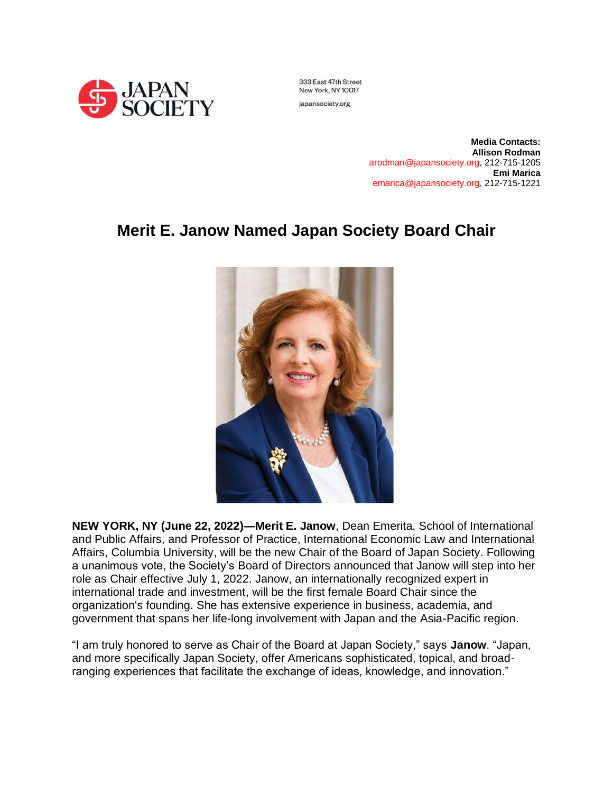

333 East 47th Street New York, NY 10017

japansociety.org

**Media Contacts: Allison Rodman** arodman@japansociety.org, 212-715-1205 **Emi Marica** emarica@japansociety.org, 212-715-1221

## **Merit E. Janow Named Japan Society Board Chair**



**NEW YORK, NY (June 22, 2022)—Merit E. Janow**, Dean Emerita, School of International and Public Affairs, and Professor of Practice, International Economic Law and International Affairs, Columbia University, will be the new Chair of the Board of Japan Society. Following a unanimous vote, the Society's Board of Directors announced that Janow will step into her role as Chair effective July 1, 2022. Janow, an internationally recognized expert in international trade and investment, will be the first female Board Chair since the organization's founding. She has extensive experience in business, academia, and government that spans her life-long involvement with Japan and the Asia-Pacific region.

"I am truly honored to serve as Chair of the Board at Japan Society," says **Janow**. "Japan, and more specifically Japan Society, offer Americans sophisticated, topical, and broadranging experiences that facilitate the exchange of ideas, knowledge, and innovation."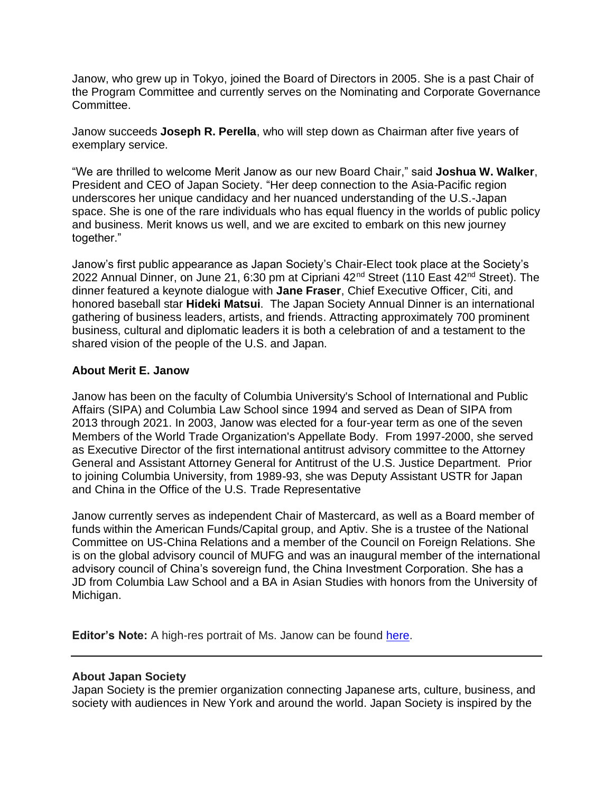Janow, who grew up in Tokyo, joined the Board of Directors in 2005. She is a past Chair of the Program Committee and currently serves on the Nominating and Corporate Governance Committee.

Janow succeeds **Joseph R. Perella**, who will step down as Chairman after five years of exemplary service.

"We are thrilled to welcome Merit Janow as our new Board Chair," said **Joshua W. Walker**, President and CEO of Japan Society. "Her deep connection to the Asia-Pacific region underscores her unique candidacy and her nuanced understanding of the U.S.-Japan space. She is one of the rare individuals who has equal fluency in the worlds of public policy and business. Merit knows us well, and we are excited to embark on this new journey together."

Janow's first public appearance as Japan Society's Chair-Elect took place at the Society's 2022 Annual Dinner, on June 21, 6:30 pm at Cipriani 42<sup>nd</sup> Street (110 East 42<sup>nd</sup> Street). The dinner featured a keynote dialogue with **Jane Fraser**, Chief Executive Officer, Citi, and honored baseball star **Hideki Matsui**. The Japan Society Annual Dinner is an international gathering of business leaders, artists, and friends. Attracting approximately 700 prominent business, cultural and diplomatic leaders it is both a celebration of and a testament to the shared vision of the people of the U.S. and Japan.

## **About Merit E. Janow**

Janow has been on the faculty of Columbia University's School of International and Public Affairs (SIPA) and Columbia Law School since 1994 and served as Dean of SIPA from 2013 through 2021. In 2003, Janow was elected for a four-year term as one of the seven Members of the World Trade Organization's Appellate Body. From 1997-2000, she served as Executive Director of the first international antitrust advisory committee to the Attorney General and Assistant Attorney General for Antitrust of the U.S. Justice Department. Prior to joining Columbia University, from 1989-93, she was Deputy Assistant USTR for Japan and China in the Office of the U.S. Trade Representative

Janow currently serves as independent Chair of Mastercard, as well as a Board member of funds within the American Funds/Capital group, and Aptiv. She is a trustee of the National Committee on US-China Relations and a member of the Council on Foreign Relations. She is on the global advisory council of MUFG and was an inaugural member of the international advisory council of China's sovereign fund, the China Investment Corporation. She has a JD from Columbia Law School and a BA in Asian Studies with honors from the University of Michigan.

**Editor's Note:** A high-res portrait of Ms. Janow can be found [here.](https://www.dropbox.com/s/1ax2nshjehbuvmk/Merit%20Janow%20Headshot.tif?dl=0)

## **About Japan Society**

Japan Society is the premier organization connecting Japanese arts, culture, business, and society with audiences in New York and around the world. Japan Society is inspired by the